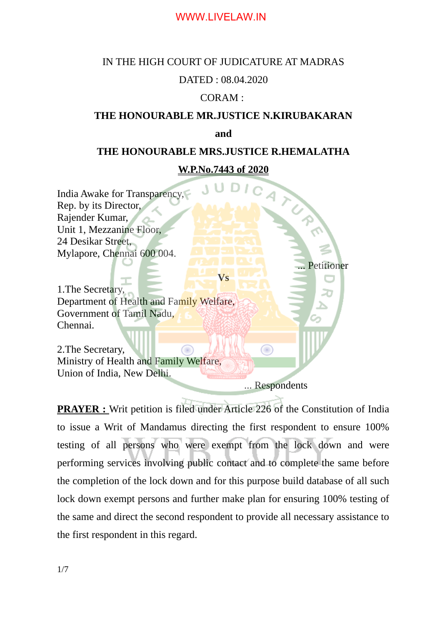# IN THE HIGH COURT OF JUDICATURE AT MADRAS

# DATED : 08.04.2020

# CORAM :

## **THE HONOURABLE MR.JUSTICE N.KIRUBAKARAN**

**and**

# **THE HONOURABLE MRS.JUSTICE R.HEMALATHA**

# **W.P.No.7443 of 2020**

**Vs**

India Awake for Transparency, Rep. by its Director, Rajender Kumar, Unit 1, Mezzanine Floor, 24 Desikar Street, Mylapore, Chennai 600 004.

1.The Secretary, Department of Health and Family Welfare, Government of Tamil Nadu, Chennai.

2.The Secretary, Ministry of Health and Family Welfare, Union of India, New Delhi.

... Respondents

◉

... Petitioner

**PRAYER :** Writ petition is filed under Article 226 of the Constitution of India to issue a Writ of Mandamus directing the first respondent to ensure 100% testing of all persons who were exempt from the lock down and were performing services involving public contact and to complete the same before the completion of the lock down and for this purpose build database of all such lock down exempt persons and further make plan for ensuring 100% testing of the same and direct the second respondent to provide all necessary assistance to the first respondent in this regard.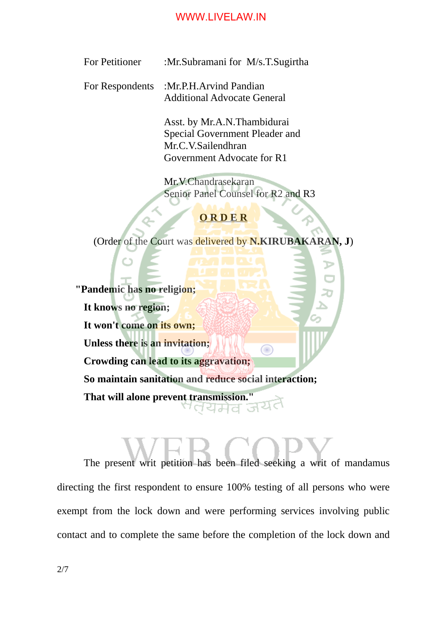For Petitioner :Mr.Subramani for M/s.T.Sugirtha

For Respondents :Mr.P.H.Arvind Pandian Additional Advocate General

> Asst. by Mr.A.N.Thambidurai Special Government Pleader and Mr.C.V.Sailendhran Government Advocate for R1

Mr.V.Chandrasekaran Senior Panel Counsel for R2 and R3

# **O R D E R**

(Order of the Court was delivered by **N.KIRUBAKARAN, J**)

 **"Pandemic has no religion; It knows no region; It won't come on its own; Unless there is an invitation;** œ **Crowding can lead to its aggravation; So maintain sanitation and reduce social interaction; That will alone prevent transmission."**

The present writ petition has been filed seeking a writ of mandamus directing the first respondent to ensure 100% testing of all persons who were exempt from the lock down and were performing services involving public contact and to complete the same before the completion of the lock down and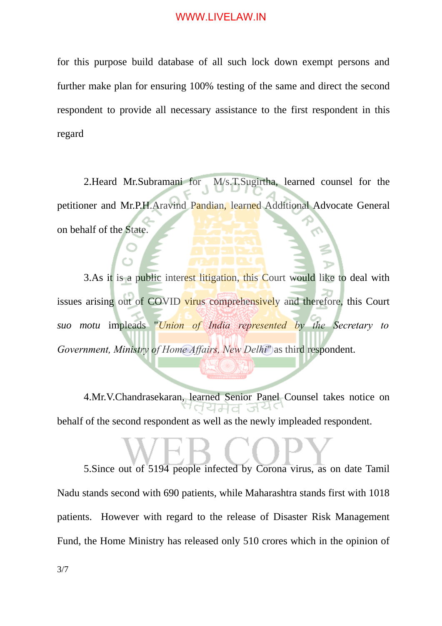for this purpose build database of all such lock down exempt persons and further make plan for ensuring 100% testing of the same and direct the second respondent to provide all necessary assistance to the first respondent in this regard

2.Heard Mr.Subramani for M/s.T.Sugirtha, learned counsel for the petitioner and Mr.P.H.Aravind Pandian, learned Additional Advocate General on behalf of the State.

3.As it is a public interest litigation, this Court would like to deal with issues arising out of COVID virus comprehensively and therefore, this Court *suo motu* impleads "*Union of India represented by the Secretary to Government, Ministry of Home Affairs, New Delhi*" as third respondent.

4.Mr.V.Chandrasekaran, learned Senior Panel Counsel takes notice on behalf of the second respondent as well as the newly impleaded respondent.

5.Since out of 5194 people infected by Corona virus, as on date Tamil Nadu stands second with 690 patients, while Maharashtra stands first with 1018 patients. However with regard to the release of Disaster Risk Management Fund, the Home Ministry has released only 510 crores which in the opinion of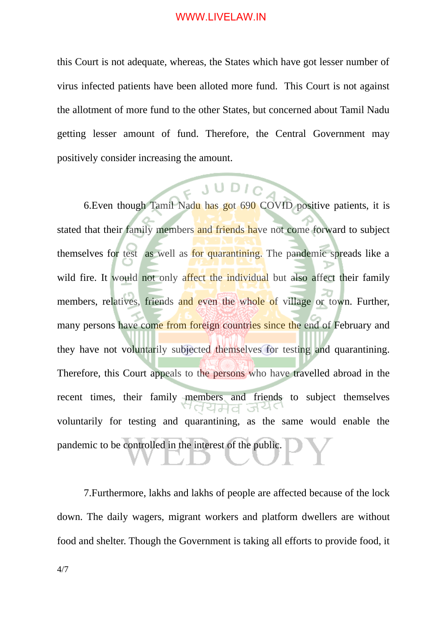this Court is not adequate, whereas, the States which have got lesser number of virus infected patients have been alloted more fund. This Court is not against the allotment of more fund to the other States, but concerned about Tamil Nadu getting lesser amount of fund. Therefore, the Central Government may positively consider increasing the amount.

6.Even though Tamil Nadu has got 690 COVID positive patients, it is stated that their family members and friends have not come forward to subject themselves for test as well as for quarantining. The pandemic spreads like a wild fire. It would not only affect the individual but also affect their family members, relatives, friends and even the whole of village or town. Further, many persons have come from foreign countries since the end of February and they have not voluntarily subjected themselves for testing and quarantining. Therefore, this Court appeals to the persons who have travelled abroad in the recent times, their family members and friends to subject themselves voluntarily for testing and quarantining, as the same would enable the pandemic to be controlled in the interest of the public.

7.Furthermore, lakhs and lakhs of people are affected because of the lock down. The daily wagers, migrant workers and platform dwellers are without food and shelter. Though the Government is taking all efforts to provide food, it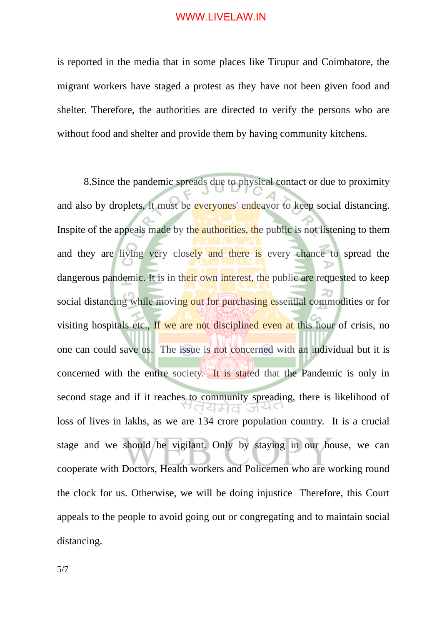is reported in the media that in some places like Tirupur and Coimbatore, the migrant workers have staged a protest as they have not been given food and shelter. Therefore, the authorities are directed to verify the persons who are without food and shelter and provide them by having community kitchens.

8.Since the pandemic spreads due to physical contact or due to proximity and also by droplets, it must be everyones' endeavor to keep social distancing. Inspite of the appeals made by the authorities, the public is not listening to them and they are living very closely and there is every chance to spread the dangerous pandemic. It is in their own interest, the public are requested to keep social distancing while moving out for purchasing essential commodities or for visiting hospitals etc., If we are not disciplined even at this hour of crisis, no one can could save us. The issue is not concerned with an individual but it is concerned with the entire society. It is stated that the Pandemic is only in second stage and if it reaches to community spreading, there is likelihood of loss of lives in lakhs, as we are 134 crore population country. It is a crucial stage and we should be vigilant. Only by staying in our house, we can cooperate with Doctors, Health workers and Policemen who are working round the clock for us. Otherwise, we will be doing injustice Therefore, this Court appeals to the people to avoid going out or congregating and to maintain social distancing.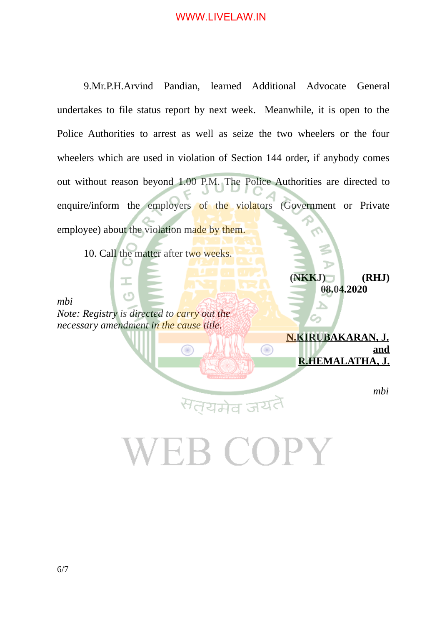9.Mr.P.H.Arvind Pandian, learned Additional Advocate General undertakes to file status report by next week. Meanwhile, it is open to the Police Authorities to arrest as well as seize the two wheelers or the four wheelers which are used in violation of Section 144 order, if anybody comes out without reason beyond 1.00 P.M. The Police Authorities are directed to enquire/inform the employers of the violators (Government or Private employee) about the violation made by them.

10. Call the matter after two weeks.

*mbi*

*Note: Registry is directed to carry out the necessary amendment in the cause title.*

Œ

I еF **(NKKJ) (RHJ) 08.04.2020**

**N.KIRUBAKARAN, J. and R.HEMALATHA, J.**

*mbi*

# 'EB COPY

यमेव जय

 $\circledcirc$